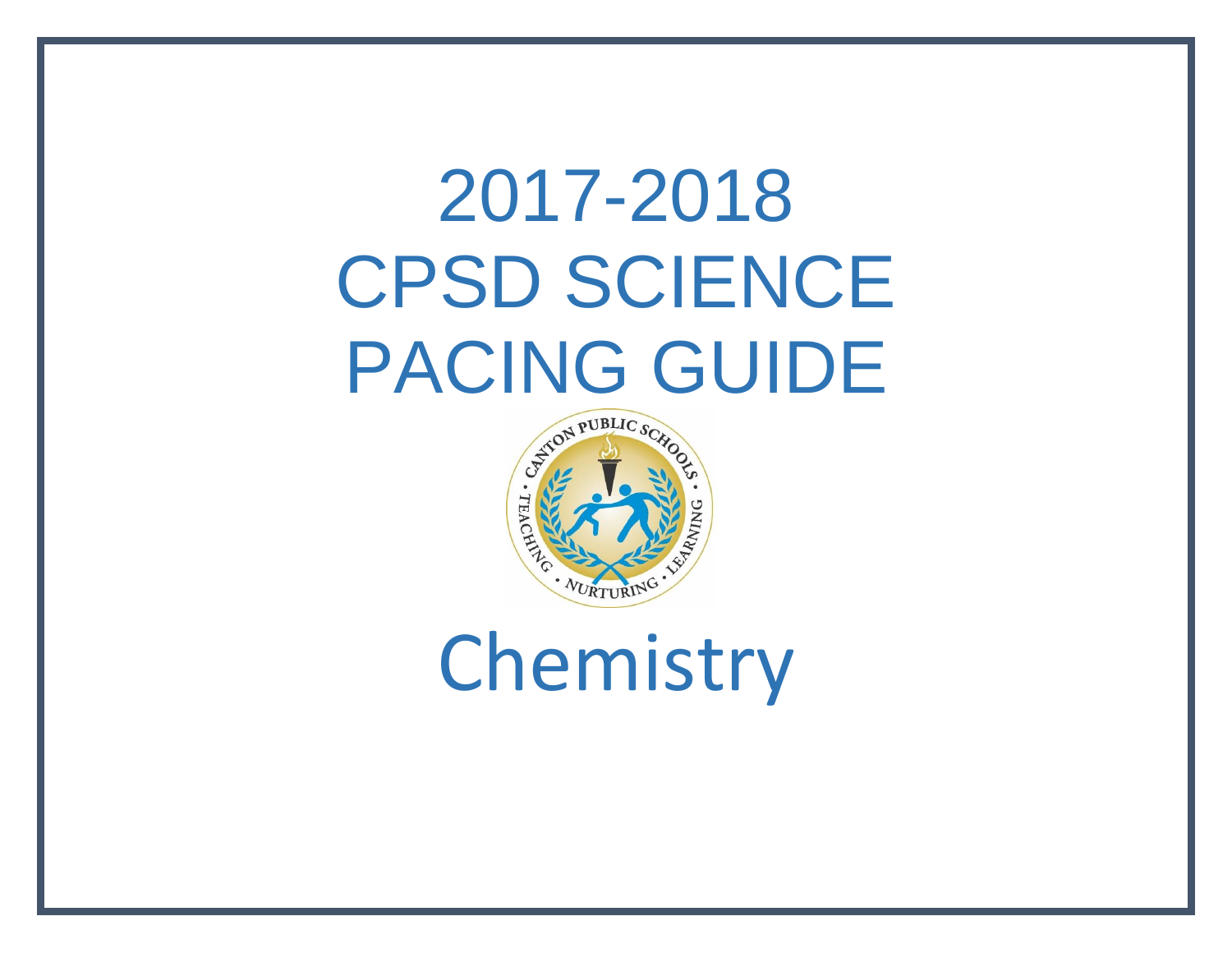# 2017-2018 CPSD SCIENCE PACING GUIDE



Chemistry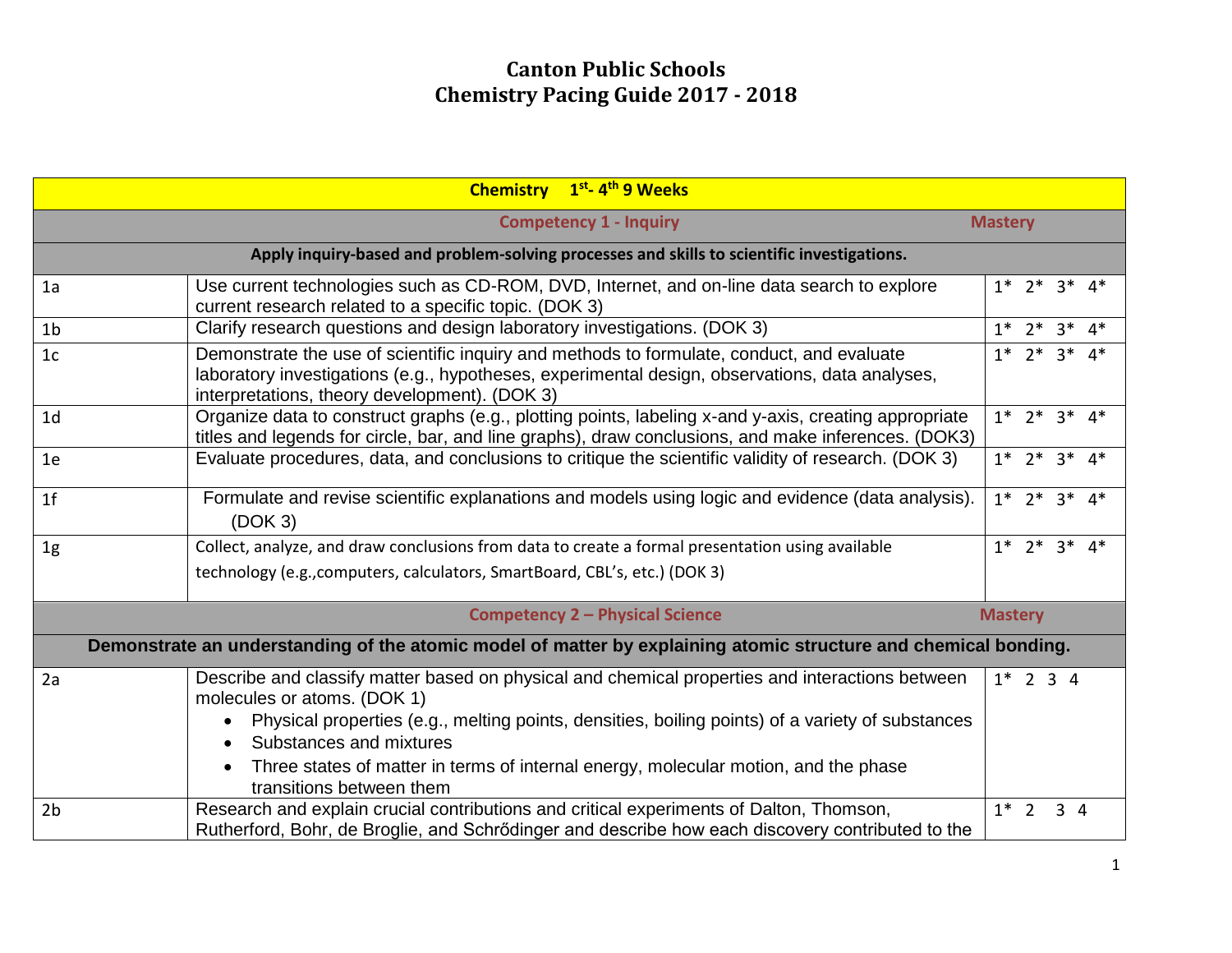|                                                                                                                 | Chemistry 1 <sup>st</sup> -4 <sup>th</sup> 9 Weeks                                                                                                                                                                                                                         |                         |  |             |               |  |
|-----------------------------------------------------------------------------------------------------------------|----------------------------------------------------------------------------------------------------------------------------------------------------------------------------------------------------------------------------------------------------------------------------|-------------------------|--|-------------|---------------|--|
| <b>Competency 1 - Inquiry</b><br><b>Mastery</b>                                                                 |                                                                                                                                                                                                                                                                            |                         |  |             |               |  |
| Apply inquiry-based and problem-solving processes and skills to scientific investigations.                      |                                                                                                                                                                                                                                                                            |                         |  |             |               |  |
| 1a                                                                                                              | Use current technologies such as CD-ROM, DVD, Internet, and on-line data search to explore<br>current research related to a specific topic. (DOK 3)                                                                                                                        |                         |  |             | $3^*$ 4*      |  |
| 1 <sub>b</sub>                                                                                                  | Clarify research questions and design laboratory investigations. (DOK 3)                                                                                                                                                                                                   | $1* 2* 3* 4*$           |  |             |               |  |
| 1 <sub>c</sub>                                                                                                  | Demonstrate the use of scientific inquiry and methods to formulate, conduct, and evaluate<br>laboratory investigations (e.g., hypotheses, experimental design, observations, data analyses,<br>interpretations, theory development). (DOK 3)                               |                         |  |             | $1* 2* 3* 4*$ |  |
| 1 <sub>d</sub>                                                                                                  | Organize data to construct graphs (e.g., plotting points, labeling x-and y-axis, creating appropriate<br>titles and legends for circle, bar, and line graphs), draw conclusions, and make inferences. (DOK3)                                                               | $1^*$ $2^*$ $3^*$ $4^*$ |  |             |               |  |
| 1e                                                                                                              | Evaluate procedures, data, and conclusions to critique the scientific validity of research. (DOK 3)                                                                                                                                                                        | $1* 2* 3* 4*$           |  |             |               |  |
| 1 <sup>f</sup>                                                                                                  | Formulate and revise scientific explanations and models using logic and evidence (data analysis).<br>(DOK 3)                                                                                                                                                               | $1* 2* 3* 4*$           |  |             |               |  |
| 1 <sub>g</sub>                                                                                                  | Collect, analyze, and draw conclusions from data to create a formal presentation using available                                                                                                                                                                           | $1* 2* 3* 4*$           |  |             |               |  |
|                                                                                                                 | technology (e.g., computers, calculators, SmartBoard, CBL's, etc.) (DOK 3)                                                                                                                                                                                                 |                         |  |             |               |  |
| <b>Competency 2 - Physical Science</b><br><b>Mastery</b>                                                        |                                                                                                                                                                                                                                                                            |                         |  |             |               |  |
| Demonstrate an understanding of the atomic model of matter by explaining atomic structure and chemical bonding. |                                                                                                                                                                                                                                                                            |                         |  |             |               |  |
| 2a                                                                                                              | Describe and classify matter based on physical and chemical properties and interactions between<br>molecules or atoms. (DOK 1)<br>Physical properties (e.g., melting points, densities, boiling points) of a variety of substances<br>Substances and mixtures<br>$\bullet$ | $1*$ 2 3 4              |  |             |               |  |
|                                                                                                                 | Three states of matter in terms of internal energy, molecular motion, and the phase<br>$\bullet$<br>transitions between them                                                                                                                                               |                         |  |             |               |  |
| 2 <sub>b</sub>                                                                                                  | Research and explain crucial contributions and critical experiments of Dalton, Thomson,<br>Rutherford, Bohr, de Broglie, and Schrödinger and describe how each discovery contributed to the                                                                                | $1^*$ 2                 |  | $3 \quad 4$ |               |  |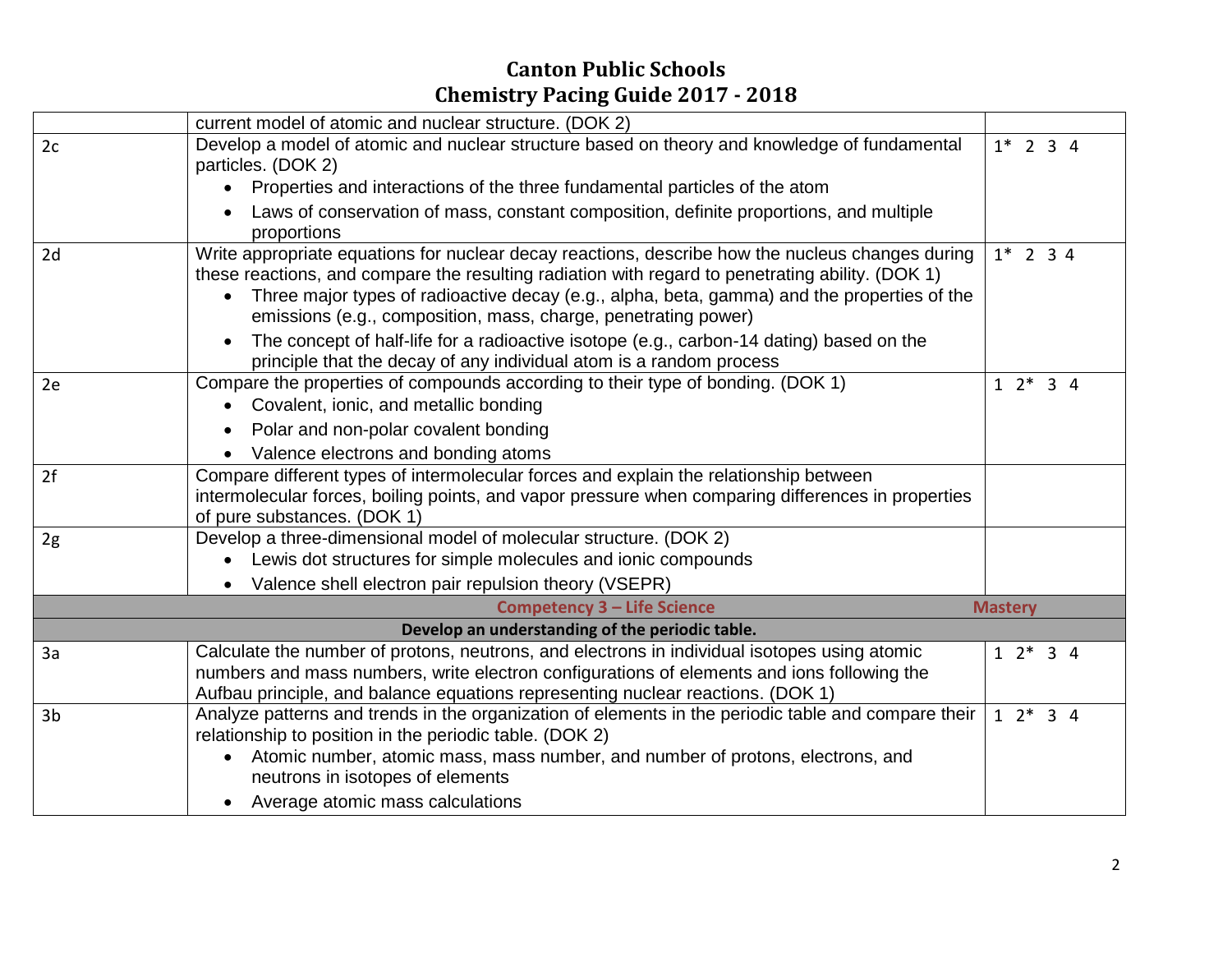|                                    | current model of atomic and nuclear structure. (DOK 2)                                                                                                                                                                                                                                                                                                                                                                                                                                                                                                             |  |                |  |                   |  |
|------------------------------------|--------------------------------------------------------------------------------------------------------------------------------------------------------------------------------------------------------------------------------------------------------------------------------------------------------------------------------------------------------------------------------------------------------------------------------------------------------------------------------------------------------------------------------------------------------------------|--|----------------|--|-------------------|--|
| 2c                                 | Develop a model of atomic and nuclear structure based on theory and knowledge of fundamental<br>particles. (DOK 2)                                                                                                                                                                                                                                                                                                                                                                                                                                                 |  |                |  | $1*$ 2 3 4        |  |
|                                    | Properties and interactions of the three fundamental particles of the atom<br>$\bullet$                                                                                                                                                                                                                                                                                                                                                                                                                                                                            |  |                |  |                   |  |
|                                    | Laws of conservation of mass, constant composition, definite proportions, and multiple<br>proportions                                                                                                                                                                                                                                                                                                                                                                                                                                                              |  |                |  |                   |  |
| 2d                                 | Write appropriate equations for nuclear decay reactions, describe how the nucleus changes during<br>these reactions, and compare the resulting radiation with regard to penetrating ability. (DOK 1)<br>Three major types of radioactive decay (e.g., alpha, beta, gamma) and the properties of the<br>$\bullet$<br>emissions (e.g., composition, mass, charge, penetrating power)<br>The concept of half-life for a radioactive isotope (e.g., carbon-14 dating) based on the<br>$\bullet$<br>principle that the decay of any individual atom is a random process |  |                |  |                   |  |
| 2e                                 | Compare the properties of compounds according to their type of bonding. (DOK 1)<br>• Covalent, ionic, and metallic bonding                                                                                                                                                                                                                                                                                                                                                                                                                                         |  | $12*34$        |  |                   |  |
|                                    | Polar and non-polar covalent bonding                                                                                                                                                                                                                                                                                                                                                                                                                                                                                                                               |  |                |  |                   |  |
|                                    | Valence electrons and bonding atoms<br>$\bullet$                                                                                                                                                                                                                                                                                                                                                                                                                                                                                                                   |  |                |  |                   |  |
| 2f                                 | Compare different types of intermolecular forces and explain the relationship between<br>intermolecular forces, boiling points, and vapor pressure when comparing differences in properties<br>of pure substances. (DOK 1)                                                                                                                                                                                                                                                                                                                                         |  |                |  |                   |  |
| 2g                                 | Develop a three-dimensional model of molecular structure. (DOK 2)<br>• Lewis dot structures for simple molecules and ionic compounds<br>Valence shell electron pair repulsion theory (VSEPR)<br>$\bullet$                                                                                                                                                                                                                                                                                                                                                          |  |                |  |                   |  |
| <b>Competency 3 - Life Science</b> |                                                                                                                                                                                                                                                                                                                                                                                                                                                                                                                                                                    |  | <b>Mastery</b> |  |                   |  |
|                                    | Develop an understanding of the periodic table.                                                                                                                                                                                                                                                                                                                                                                                                                                                                                                                    |  |                |  |                   |  |
| 3a                                 | Calculate the number of protons, neutrons, and electrons in individual isotopes using atomic<br>numbers and mass numbers, write electron configurations of elements and ions following the<br>Aufbau principle, and balance equations representing nuclear reactions. (DOK 1)                                                                                                                                                                                                                                                                                      |  |                |  | $1 \t2^* \t3 \t4$ |  |
| 3 <sub>b</sub>                     | Analyze patterns and trends in the organization of elements in the periodic table and compare their<br>relationship to position in the periodic table. (DOK 2)<br>Atomic number, atomic mass, mass number, and number of protons, electrons, and<br>$\bullet$<br>neutrons in isotopes of elements<br>Average atomic mass calculations                                                                                                                                                                                                                              |  | $12*34$        |  |                   |  |
|                                    |                                                                                                                                                                                                                                                                                                                                                                                                                                                                                                                                                                    |  |                |  |                   |  |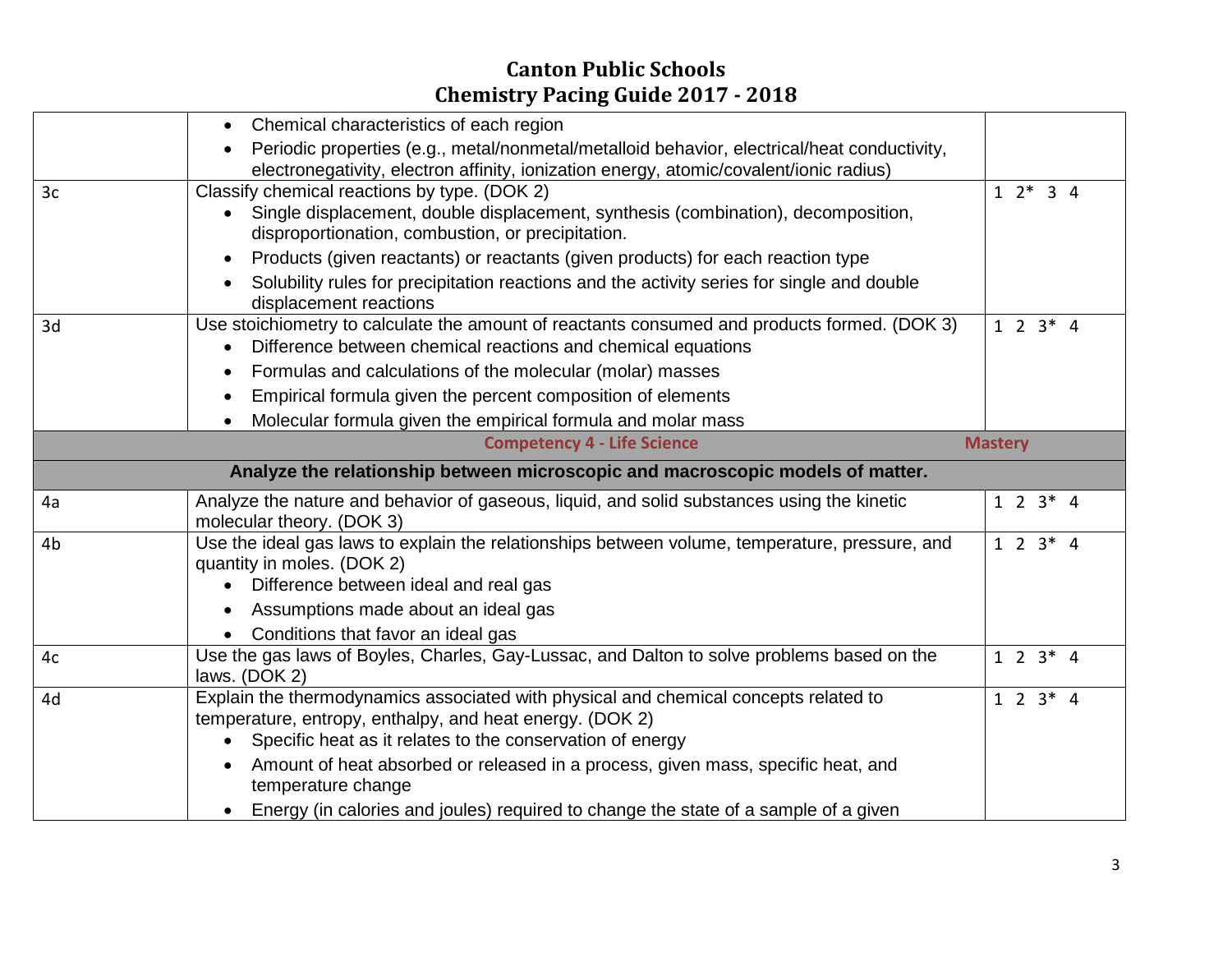|                | • Chemical characteristics of each region                                                                                                |                 |  |  |  |  |  |
|----------------|------------------------------------------------------------------------------------------------------------------------------------------|-----------------|--|--|--|--|--|
|                | Periodic properties (e.g., metal/nonmetal/metalloid behavior, electrical/heat conductivity,                                              |                 |  |  |  |  |  |
|                | electronegativity, electron affinity, ionization energy, atomic/covalent/ionic radius)                                                   |                 |  |  |  |  |  |
| 3 <sub>c</sub> | Classify chemical reactions by type. (DOK 2)                                                                                             |                 |  |  |  |  |  |
|                | • Single displacement, double displacement, synthesis (combination), decomposition,<br>disproportionation, combustion, or precipitation. |                 |  |  |  |  |  |
|                | Products (given reactants) or reactants (given products) for each reaction type                                                          |                 |  |  |  |  |  |
|                | Solubility rules for precipitation reactions and the activity series for single and double<br>displacement reactions                     |                 |  |  |  |  |  |
| 3d             | Use stoichiometry to calculate the amount of reactants consumed and products formed. (DOK 3)                                             | $1 \t2 \t3 * 4$ |  |  |  |  |  |
|                | Difference between chemical reactions and chemical equations                                                                             |                 |  |  |  |  |  |
|                | Formulas and calculations of the molecular (molar) masses<br>$\bullet$                                                                   |                 |  |  |  |  |  |
|                | Empirical formula given the percent composition of elements                                                                              |                 |  |  |  |  |  |
|                | Molecular formula given the empirical formula and molar mass                                                                             |                 |  |  |  |  |  |
|                | <b>Competency 4 - Life Science</b>                                                                                                       | <b>Mastery</b>  |  |  |  |  |  |
|                | Analyze the relationship between microscopic and macroscopic models of matter.                                                           |                 |  |  |  |  |  |
| 4a             | Analyze the nature and behavior of gaseous, liquid, and solid substances using the kinetic<br>molecular theory. (DOK 3)                  | $1 \t2 \t3 * 4$ |  |  |  |  |  |
| 4b             | Use the ideal gas laws to explain the relationships between volume, temperature, pressure, and<br>quantity in moles. (DOK 2)             |                 |  |  |  |  |  |
|                | Difference between ideal and real gas                                                                                                    |                 |  |  |  |  |  |
|                | Assumptions made about an ideal gas                                                                                                      |                 |  |  |  |  |  |
|                | • Conditions that favor an ideal gas                                                                                                     |                 |  |  |  |  |  |
| 4c             | Use the gas laws of Boyles, Charles, Gay-Lussac, and Dalton to solve problems based on the<br>$1 \t2 \t3 * 4$<br>laws. (DOK 2)           |                 |  |  |  |  |  |
| 4d             | Explain the thermodynamics associated with physical and chemical concepts related to                                                     |                 |  |  |  |  |  |
|                | temperature, entropy, enthalpy, and heat energy. (DOK 2)<br>Specific heat as it relates to the conservation of energy                    |                 |  |  |  |  |  |
|                |                                                                                                                                          |                 |  |  |  |  |  |
|                | Amount of heat absorbed or released in a process, given mass, specific heat, and<br>temperature change                                   |                 |  |  |  |  |  |
|                | • Energy (in calories and joules) required to change the state of a sample of a given                                                    |                 |  |  |  |  |  |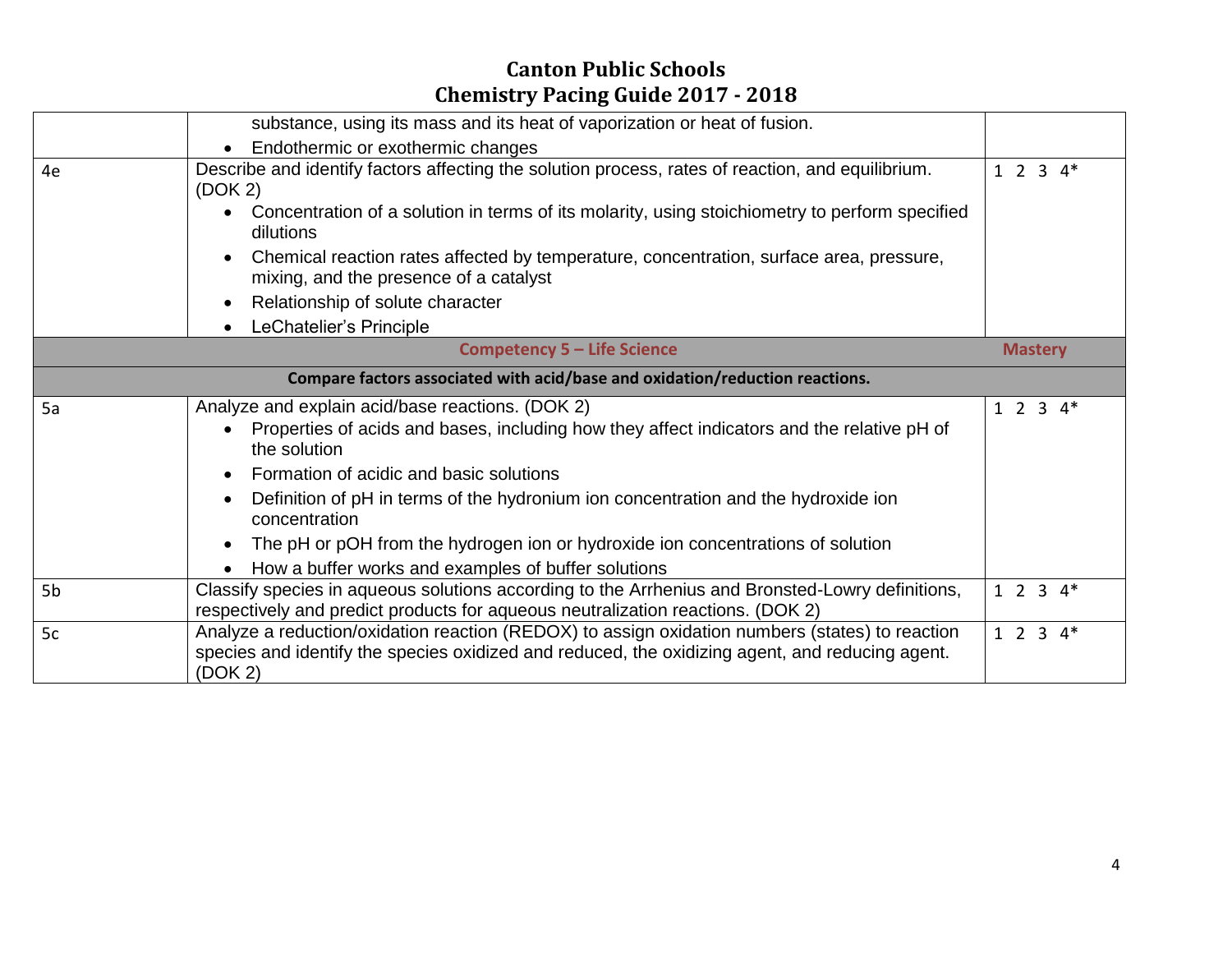|                                    | substance, using its mass and its heat of vaporization or heat of fusion.                                                                                                                                                                                                                                                                                                                                                                                               |                   |  |  |  |  |
|------------------------------------|-------------------------------------------------------------------------------------------------------------------------------------------------------------------------------------------------------------------------------------------------------------------------------------------------------------------------------------------------------------------------------------------------------------------------------------------------------------------------|-------------------|--|--|--|--|
|                                    | Endothermic or exothermic changes                                                                                                                                                                                                                                                                                                                                                                                                                                       |                   |  |  |  |  |
| 4e                                 | Describe and identify factors affecting the solution process, rates of reaction, and equilibrium.<br>(DOK 2)<br>Concentration of a solution in terms of its molarity, using stoichiometry to perform specified<br>$\bullet$<br>dilutions<br>Chemical reaction rates affected by temperature, concentration, surface area, pressure,<br>mixing, and the presence of a catalyst                                                                                           |                   |  |  |  |  |
|                                    | Relationship of solute character                                                                                                                                                                                                                                                                                                                                                                                                                                        |                   |  |  |  |  |
|                                    | LeChatelier's Principle<br>$\bullet$                                                                                                                                                                                                                                                                                                                                                                                                                                    |                   |  |  |  |  |
| <b>Competency 5 - Life Science</b> |                                                                                                                                                                                                                                                                                                                                                                                                                                                                         |                   |  |  |  |  |
|                                    | Compare factors associated with acid/base and oxidation/reduction reactions.                                                                                                                                                                                                                                                                                                                                                                                            |                   |  |  |  |  |
| 5a                                 | Analyze and explain acid/base reactions. (DOK 2)<br>Properties of acids and bases, including how they affect indicators and the relative pH of<br>$\bullet$<br>the solution<br>Formation of acidic and basic solutions<br>Definition of pH in terms of the hydronium ion concentration and the hydroxide ion<br>concentration<br>The pH or pOH from the hydrogen ion or hydroxide ion concentrations of solution<br>How a buffer works and examples of buffer solutions | $1 \t2 \t3 \t4^*$ |  |  |  |  |
| 5 <sub>b</sub>                     | Classify species in aqueous solutions according to the Arrhenius and Bronsted-Lowry definitions,<br>$1 2 3 4*$<br>respectively and predict products for aqueous neutralization reactions. (DOK 2)                                                                                                                                                                                                                                                                       |                   |  |  |  |  |
| 5c                                 | Analyze a reduction/oxidation reaction (REDOX) to assign oxidation numbers (states) to reaction<br>$1 \t2 \t3 \t4^*$<br>species and identify the species oxidized and reduced, the oxidizing agent, and reducing agent.<br>(DOK 2)                                                                                                                                                                                                                                      |                   |  |  |  |  |